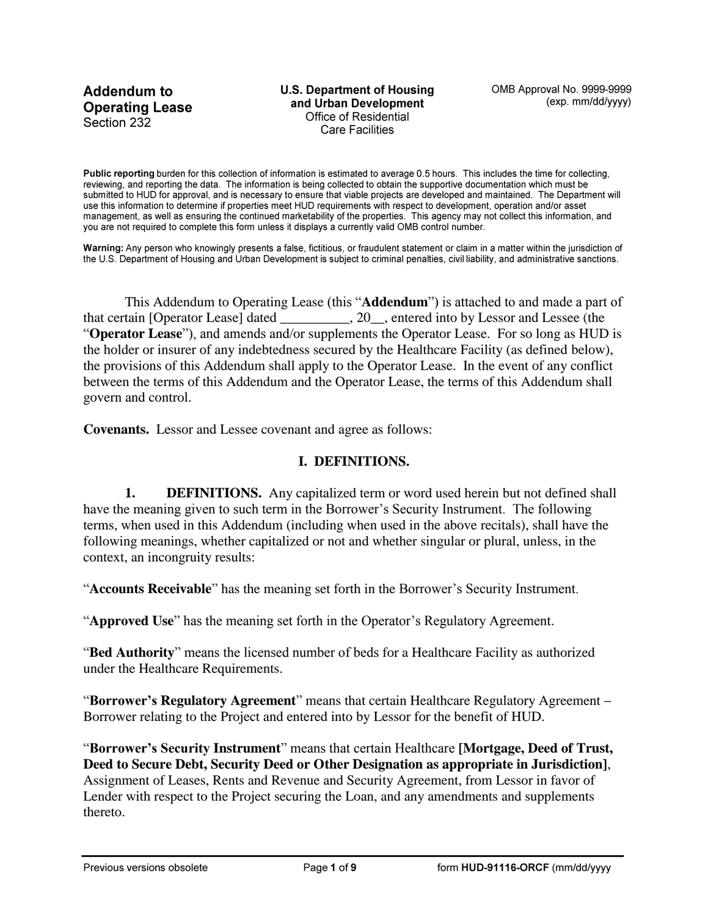**Addendum to Operating Lease** Section 232

**U.S. Department of Housing** and Urban Development Office of Residential **Care Facilities** 

Public reporting burden for this collection of information is estimated to average 0.5 hours. This includes the time for collecting, reviewing, and reporting the data. The information is being collected to obtain the supportive documentation which must be submitted to HUD for approval, and is necessary to ensure that viable projects are developed and maintained. The Department will use this information to determine if properties meet HUD requirements with respect to development, operation and/or asset management, as well as ensuring the continued marketability of the properties. This agency may not collect this information, and you are not required to complete this form unless it displays a currently valid OMB control number.

Warning: Any person who knowingly presents a false, fictitious, or fraudulent statement or claim in a matter within the jurisdiction of the U.S. Department of Housing and Urban Development is subject to criminal penalties, civil liability, and administrative sanctions.

This Addendum to Operating Lease (this "**Addendum**") is attached to and made a part of that certain [Operator Lease] dated \_\_\_\_\_\_\_\_\_\_, 20\_\_, entered into by Lessor and Lessee (the "**Operator Lease**"), and amends and/or supplements the Operator Lease. For so long as HUD is the holder or insurer of any indebtedness secured by the Healthcare Facility (as defined below), the provisions of this Addendum shall apply to the Operator Lease. In the event of any conflict between the terms of this Addendum and the Operator Lease, the terms of this Addendum shall govern and control.

**Covenants.** Lessor and Lessee covenant and agree as follows:

#### **I. DEFINITIONS.**

**1. DEFINITIONS.** Any capitalized term or word used herein but not defined shall have the meaning given to such term in the Borrower's Security Instrument. The following terms, when used in this Addendum (including when used in the above recitals), shall have the following meanings, whether capitalized or not and whether singular or plural, unless, in the context, an incongruity results:

"**Accounts Receivable**" has the meaning set forth in the Borrower's Security Instrument.

"**Approved Use**" has the meaning set forth in the Operator's Regulatory Agreement.

"**Bed Authority**" means the licensed number of beds for a Healthcare Facility as authorized under the Healthcare Requirements.

"**Borrower's Regulatory Agreement**" means that certain Healthcare Regulatory Agreement – Borrower relating to the Project and entered into by Lessor for the benefit of HUD.

"**Borrower's Security Instrument**" means that certain Healthcare **[Mortgage, Deed of Trust, Deed to Secure Debt, Security Deed or Other Designation as appropriate in Jurisdiction]**, Assignment of Leases, Rents and Revenue and Security Agreement, from Lessor in favor of Lender with respect to the Project securing the Loan, and any amendments and supplements thereto.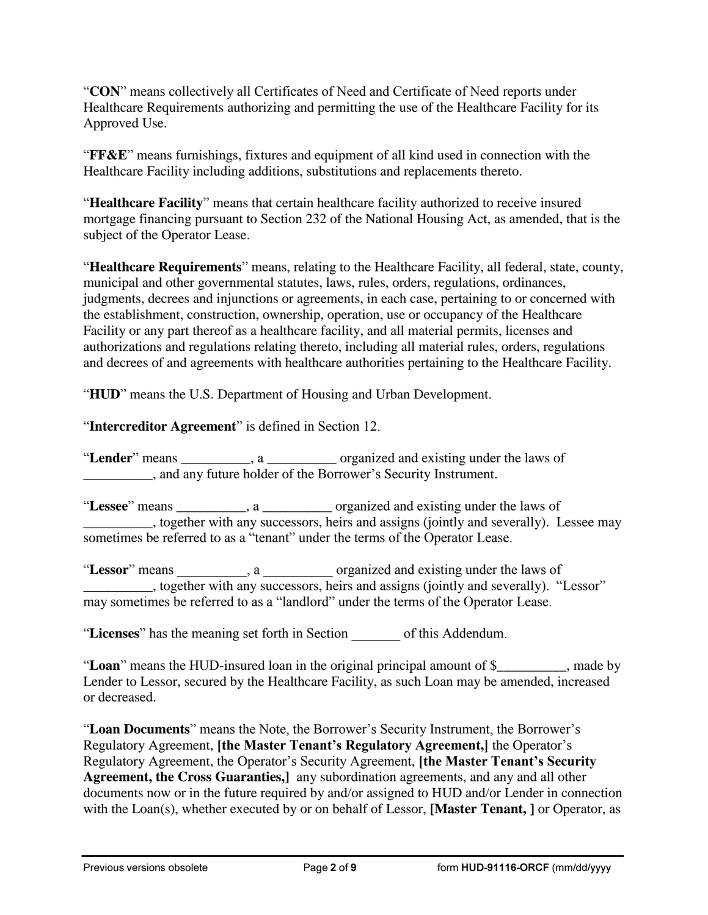"**CON**" means collectively all Certificates of Need and Certificate of Need reports under Healthcare Requirements authorizing and permitting the use of the Healthcare Facility for its Approved Use.

"**FF&E**" means furnishings, fixtures and equipment of all kind used in connection with the Healthcare Facility including additions, substitutions and replacements thereto.

"**Healthcare Facility**" means that certain healthcare facility authorized to receive insured mortgage financing pursuant to Section 232 of the National Housing Act, as amended, that is the subject of the Operator Lease.

"**Healthcare Requirements**" means, relating to the Healthcare Facility, all federal, state, county, municipal and other governmental statutes, laws, rules, orders, regulations, ordinances, judgments, decrees and injunctions or agreements, in each case, pertaining to or concerned with the establishment, construction, ownership, operation, use or occupancy of the Healthcare Facility or any part thereof as a healthcare facility, and all material permits, licenses and authorizations and regulations relating thereto, including all material rules, orders, regulations and decrees of and agreements with healthcare authorities pertaining to the Healthcare Facility.

"**HUD**" means the U.S. Department of Housing and Urban Development.

"**Intercreditor Agreement**" is defined in Section 12.

"**Lender**" means \_\_\_\_\_\_\_\_\_\_, a \_\_\_\_\_\_\_\_\_\_ organized and existing under the laws of \_\_\_\_\_\_\_\_\_\_, and any future holder of the Borrower's Security Instrument.

"**Lessee**" means \_\_\_\_\_\_\_\_\_\_, a \_\_\_\_\_\_\_\_\_\_ organized and existing under the laws of \_\_\_\_\_\_\_\_\_\_, together with any successors, heirs and assigns (jointly and severally). Lessee may sometimes be referred to as a "tenant" under the terms of the Operator Lease.

"Lessor" means  $\qquad \qquad$ , a  $\qquad \qquad$  organized and existing under the laws of \_\_\_\_\_\_\_\_\_\_, together with any successors, heirs and assigns (jointly and severally). "Lessor" may sometimes be referred to as a "landlord" under the terms of the Operator Lease.

"**Licenses**" has the meaning set forth in Section \_\_\_\_\_\_\_ of this Addendum.

"**Loan**" means the HUD-insured loan in the original principal amount of \$\_\_\_\_\_\_\_\_\_\_, made by Lender to Lessor, secured by the Healthcare Facility, as such Loan may be amended, increased or decreased.

"**Loan Documents**" means the Note, the Borrower's Security Instrument, the Borrower's Regulatory Agreement, **[the Master Tenant's Regulatory Agreement,]** the Operator's Regulatory Agreement, the Operator's Security Agreement, **[the Master Tenant's Security Agreement, the Cross Guaranties,]** any subordination agreements, and any and all other documents now or in the future required by and/or assigned to HUD and/or Lender in connection with the Loan(s), whether executed by or on behalf of Lessor, **[Master Tenant, ]** or Operator, as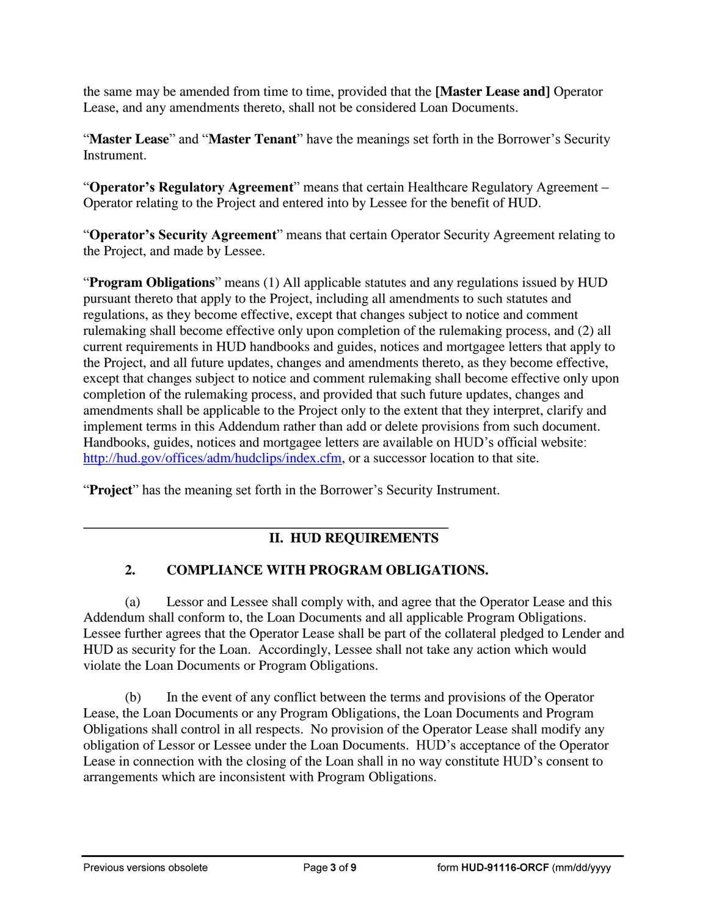the same may be amended from time to time, provided that the **[Master Lease and]** Operator Lease, and any amendments thereto, shall not be considered Loan Documents.

"**Master Lease**" and "**Master Tenant**" have the meanings set forth in the Borrower's Security Instrument.

"**Operator's Regulatory Agreement**" means that certain Healthcare Regulatory Agreement – Operator relating to the Project and entered into by Lessee for the benefit of HUD.

"**Operator's Security Agreement**" means that certain Operator Security Agreement relating to the Project, and made by Lessee.

"**Program Obligations**" means (1) All applicable statutes and any regulations issued by HUD pursuant thereto that apply to the Project, including all amendments to such statutes and regulations, as they become effective, except that changes subject to notice and comment rulemaking shall become effective only upon completion of the rulemaking process, and (2) all current requirements in HUD handbooks and guides, notices and mortgagee letters that apply to the Project, and all future updates, changes and amendments thereto, as they become effective, except that changes subject to notice and comment rulemaking shall become effective only upon completion of the rulemaking process, and provided that such future updates, changes and amendments shall be applicable to the Project only to the extent that they interpret, clarify and implement terms in this Addendum rather than add or delete provisions from such document. Handbooks, guides, notices and mortgagee letters are available on HUD's official website: [http://hud.gov/offices/adm/hudclips/index.cfm,](http://hud.gov/offices/adm/hudclips/index.cfm) or a successor location to that site.

"**Project**" has the meaning set forth in the Borrower's Security Instrument.

### **II. HUD REQUIREMENTS**

# **2. COMPLIANCE WITH PROGRAM OBLIGATIONS.**

(a) Lessor and Lessee shall comply with, and agree that the Operator Lease and this Addendum shall conform to, the Loan Documents and all applicable Program Obligations. Lessee further agrees that the Operator Lease shall be part of the collateral pledged to Lender and HUD as security for the Loan. Accordingly, Lessee shall not take any action which would violate the Loan Documents or Program Obligations.

(b) In the event of any conflict between the terms and provisions of the Operator Lease, the Loan Documents or any Program Obligations, the Loan Documents and Program Obligations shall control in all respects. No provision of the Operator Lease shall modify any obligation of Lessor or Lessee under the Loan Documents. HUD's acceptance of the Operator Lease in connection with the closing of the Loan shall in no way constitute HUD's consent to arrangements which are inconsistent with Program Obligations.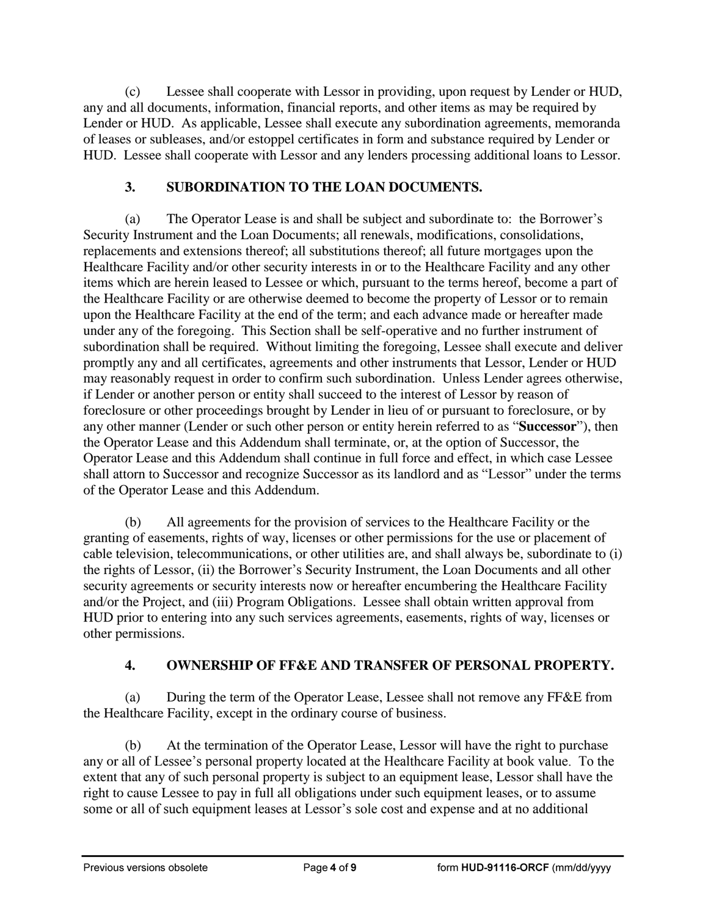(c) Lessee shall cooperate with Lessor in providing, upon request by Lender or HUD, any and all documents, information, financial reports, and other items as may be required by Lender or HUD. As applicable, Lessee shall execute any subordination agreements, memoranda of leases or subleases, and/or estoppel certificates in form and substance required by Lender or HUD. Lessee shall cooperate with Lessor and any lenders processing additional loans to Lessor.

### **3. SUBORDINATION TO THE LOAN DOCUMENTS.**

(a) The Operator Lease is and shall be subject and subordinate to: the Borrower's Security Instrument and the Loan Documents; all renewals, modifications, consolidations, replacements and extensions thereof; all substitutions thereof; all future mortgages upon the Healthcare Facility and/or other security interests in or to the Healthcare Facility and any other items which are herein leased to Lessee or which, pursuant to the terms hereof, become a part of the Healthcare Facility or are otherwise deemed to become the property of Lessor or to remain upon the Healthcare Facility at the end of the term; and each advance made or hereafter made under any of the foregoing. This Section shall be self-operative and no further instrument of subordination shall be required. Without limiting the foregoing, Lessee shall execute and deliver promptly any and all certificates, agreements and other instruments that Lessor, Lender or HUD may reasonably request in order to confirm such subordination. Unless Lender agrees otherwise, if Lender or another person or entity shall succeed to the interest of Lessor by reason of foreclosure or other proceedings brought by Lender in lieu of or pursuant to foreclosure, or by any other manner (Lender or such other person or entity herein referred to as "**Successor**"), then the Operator Lease and this Addendum shall terminate, or, at the option of Successor, the Operator Lease and this Addendum shall continue in full force and effect, in which case Lessee shall attorn to Successor and recognize Successor as its landlord and as "Lessor" under the terms of the Operator Lease and this Addendum.

(b) All agreements for the provision of services to the Healthcare Facility or the granting of easements, rights of way, licenses or other permissions for the use or placement of cable television, telecommunications, or other utilities are, and shall always be, subordinate to (i) the rights of Lessor, (ii) the Borrower's Security Instrument, the Loan Documents and all other security agreements or security interests now or hereafter encumbering the Healthcare Facility and/or the Project, and (iii) Program Obligations. Lessee shall obtain written approval from HUD prior to entering into any such services agreements, easements, rights of way, licenses or other permissions.

# **4. OWNERSHIP OF FF&E AND TRANSFER OF PERSONAL PROPERTY.**

(a) During the term of the Operator Lease, Lessee shall not remove any FF&E from the Healthcare Facility, except in the ordinary course of business.

(b) At the termination of the Operator Lease, Lessor will have the right to purchase any or all of Lessee's personal property located at the Healthcare Facility at book value. To the extent that any of such personal property is subject to an equipment lease, Lessor shall have the right to cause Lessee to pay in full all obligations under such equipment leases, or to assume some or all of such equipment leases at Lessor's sole cost and expense and at no additional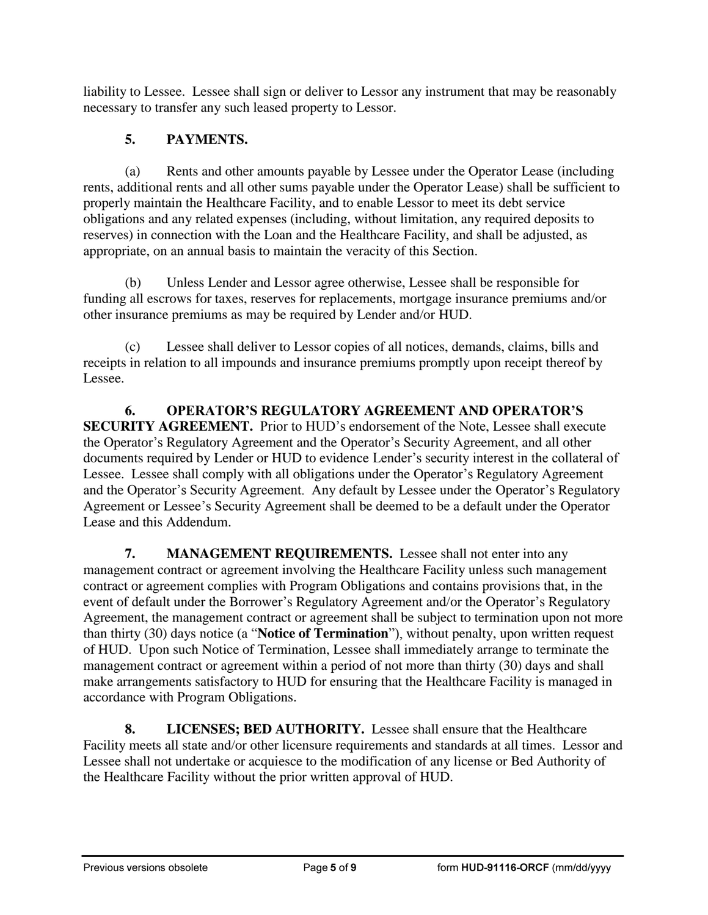liability to Lessee. Lessee shall sign or deliver to Lessor any instrument that may be reasonably necessary to transfer any such leased property to Lessor.

# **5. PAYMENTS.**

(a) Rents and other amounts payable by Lessee under the Operator Lease (including rents, additional rents and all other sums payable under the Operator Lease) shall be sufficient to properly maintain the Healthcare Facility, and to enable Lessor to meet its debt service obligations and any related expenses (including, without limitation, any required deposits to reserves) in connection with the Loan and the Healthcare Facility, and shall be adjusted, as appropriate, on an annual basis to maintain the veracity of this Section.

(b) Unless Lender and Lessor agree otherwise, Lessee shall be responsible for funding all escrows for taxes, reserves for replacements, mortgage insurance premiums and/or other insurance premiums as may be required by Lender and/or HUD.

(c) Lessee shall deliver to Lessor copies of all notices, demands, claims, bills and receipts in relation to all impounds and insurance premiums promptly upon receipt thereof by Lessee.

**6. OPERATOR'S REGULATORY AGREEMENT AND OPERATOR'S SECURITY AGREEMENT.** Prior to HUD's endorsement of the Note, Lessee shall execute the Operator's Regulatory Agreement and the Operator's Security Agreement, and all other documents required by Lender or HUD to evidence Lender's security interest in the collateral of Lessee. Lessee shall comply with all obligations under the Operator's Regulatory Agreement and the Operator's Security Agreement. Any default by Lessee under the Operator's Regulatory Agreement or Lessee's Security Agreement shall be deemed to be a default under the Operator Lease and this Addendum.

**7. MANAGEMENT REQUIREMENTS.** Lessee shall not enter into any management contract or agreement involving the Healthcare Facility unless such management contract or agreement complies with Program Obligations and contains provisions that, in the event of default under the Borrower's Regulatory Agreement and/or the Operator's Regulatory Agreement, the management contract or agreement shall be subject to termination upon not more than thirty (30) days notice (a "**Notice of Termination**"), without penalty, upon written request of HUD. Upon such Notice of Termination, Lessee shall immediately arrange to terminate the management contract or agreement within a period of not more than thirty (30) days and shall make arrangements satisfactory to HUD for ensuring that the Healthcare Facility is managed in accordance with Program Obligations.

**8. LICENSES; BED AUTHORITY.** Lessee shall ensure that the Healthcare Facility meets all state and/or other licensure requirements and standards at all times. Lessor and Lessee shall not undertake or acquiesce to the modification of any license or Bed Authority of the Healthcare Facility without the prior written approval of HUD.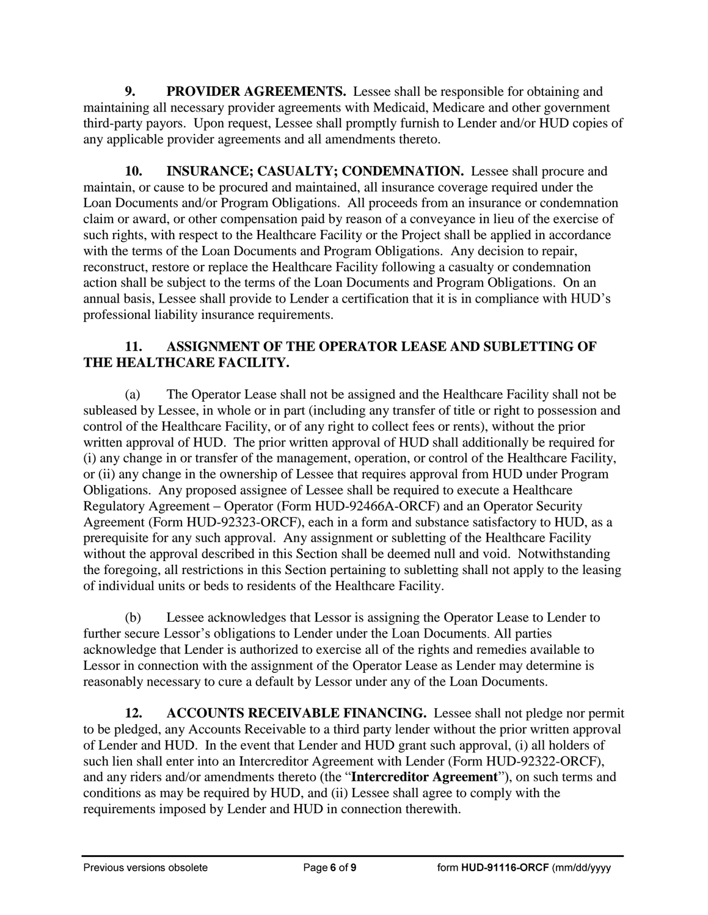**9. PROVIDER AGREEMENTS.** Lessee shall be responsible for obtaining and maintaining all necessary provider agreements with Medicaid, Medicare and other government third-party payors. Upon request, Lessee shall promptly furnish to Lender and/or HUD copies of any applicable provider agreements and all amendments thereto.

**10. INSURANCE; CASUALTY; CONDEMNATION.** Lessee shall procure and maintain, or cause to be procured and maintained, all insurance coverage required under the Loan Documents and/or Program Obligations. All proceeds from an insurance or condemnation claim or award, or other compensation paid by reason of a conveyance in lieu of the exercise of such rights, with respect to the Healthcare Facility or the Project shall be applied in accordance with the terms of the Loan Documents and Program Obligations. Any decision to repair, reconstruct, restore or replace the Healthcare Facility following a casualty or condemnation action shall be subject to the terms of the Loan Documents and Program Obligations. On an annual basis, Lessee shall provide to Lender a certification that it is in compliance with HUD's professional liability insurance requirements.

## **11. ASSIGNMENT OF THE OPERATOR LEASE AND SUBLETTING OF THE HEALTHCARE FACILITY.**

(a) The Operator Lease shall not be assigned and the Healthcare Facility shall not be subleased by Lessee, in whole or in part (including any transfer of title or right to possession and control of the Healthcare Facility, or of any right to collect fees or rents), without the prior written approval of HUD. The prior written approval of HUD shall additionally be required for (i) any change in or transfer of the management, operation, or control of the Healthcare Facility, or (ii) any change in the ownership of Lessee that requires approval from HUD under Program Obligations. Any proposed assignee of Lessee shall be required to execute a Healthcare Regulatory Agreement – Operator (Form HUD-92466A-ORCF) and an Operator Security Agreement (Form HUD-92323-ORCF), each in a form and substance satisfactory to HUD, as a prerequisite for any such approval. Any assignment or subletting of the Healthcare Facility without the approval described in this Section shall be deemed null and void. Notwithstanding the foregoing, all restrictions in this Section pertaining to subletting shall not apply to the leasing of individual units or beds to residents of the Healthcare Facility.

(b) Lessee acknowledges that Lessor is assigning the Operator Lease to Lender to further secure Lessor's obligations to Lender under the Loan Documents. All parties acknowledge that Lender is authorized to exercise all of the rights and remedies available to Lessor in connection with the assignment of the Operator Lease as Lender may determine is reasonably necessary to cure a default by Lessor under any of the Loan Documents.

**12. ACCOUNTS RECEIVABLE FINANCING.** Lessee shall not pledge nor permit to be pledged, any Accounts Receivable to a third party lender without the prior written approval of Lender and HUD. In the event that Lender and HUD grant such approval, (i) all holders of such lien shall enter into an Intercreditor Agreement with Lender (Form HUD-92322-ORCF), and any riders and/or amendments thereto (the "**Intercreditor Agreement**"), on such terms and conditions as may be required by HUD, and (ii) Lessee shall agree to comply with the requirements imposed by Lender and HUD in connection therewith.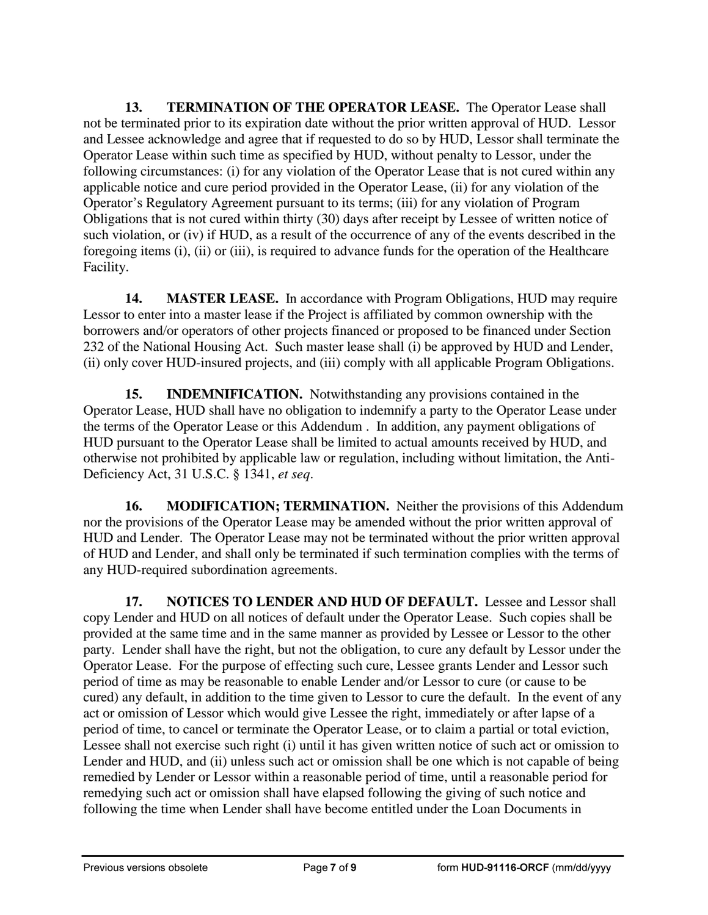**13. TERMINATION OF THE OPERATOR LEASE.** The Operator Lease shall not be terminated prior to its expiration date without the prior written approval of HUD. Lessor and Lessee acknowledge and agree that if requested to do so by HUD, Lessor shall terminate the Operator Lease within such time as specified by HUD, without penalty to Lessor, under the following circumstances: (i) for any violation of the Operator Lease that is not cured within any applicable notice and cure period provided in the Operator Lease, (ii) for any violation of the Operator's Regulatory Agreement pursuant to its terms; (iii) for any violation of Program Obligations that is not cured within thirty (30) days after receipt by Lessee of written notice of such violation, or (iv) if HUD, as a result of the occurrence of any of the events described in the foregoing items (i), (ii) or (iii), is required to advance funds for the operation of the Healthcare Facility.

**14. MASTER LEASE.** In accordance with Program Obligations, HUD may require Lessor to enter into a master lease if the Project is affiliated by common ownership with the borrowers and/or operators of other projects financed or proposed to be financed under Section 232 of the National Housing Act. Such master lease shall (i) be approved by HUD and Lender, (ii) only cover HUD-insured projects, and (iii) comply with all applicable Program Obligations.

**15. INDEMNIFICATION.** Notwithstanding any provisions contained in the Operator Lease, HUD shall have no obligation to indemnify a party to the Operator Lease under the terms of the Operator Lease or this Addendum . In addition, any payment obligations of HUD pursuant to the Operator Lease shall be limited to actual amounts received by HUD, and otherwise not prohibited by applicable law or regulation, including without limitation, the Anti-Deficiency Act, 31 U.S.C. § 1341, *et seq*.

**16. MODIFICATION; TERMINATION.** Neither the provisions of this Addendum nor the provisions of the Operator Lease may be amended without the prior written approval of HUD and Lender. The Operator Lease may not be terminated without the prior written approval of HUD and Lender, and shall only be terminated if such termination complies with the terms of any HUD-required subordination agreements.

**17. NOTICES TO LENDER AND HUD OF DEFAULT.** Lessee and Lessor shall copy Lender and HUD on all notices of default under the Operator Lease. Such copies shall be provided at the same time and in the same manner as provided by Lessee or Lessor to the other party. Lender shall have the right, but not the obligation, to cure any default by Lessor under the Operator Lease. For the purpose of effecting such cure, Lessee grants Lender and Lessor such period of time as may be reasonable to enable Lender and/or Lessor to cure (or cause to be cured) any default, in addition to the time given to Lessor to cure the default. In the event of any act or omission of Lessor which would give Lessee the right, immediately or after lapse of a period of time, to cancel or terminate the Operator Lease, or to claim a partial or total eviction, Lessee shall not exercise such right (i) until it has given written notice of such act or omission to Lender and HUD, and (ii) unless such act or omission shall be one which is not capable of being remedied by Lender or Lessor within a reasonable period of time, until a reasonable period for remedying such act or omission shall have elapsed following the giving of such notice and following the time when Lender shall have become entitled under the Loan Documents in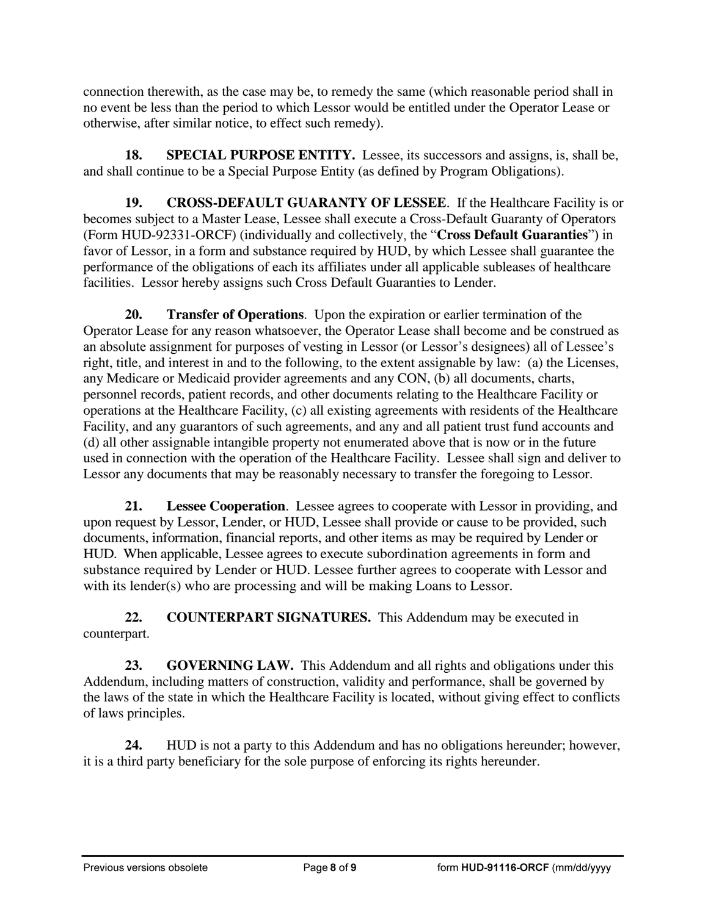connection therewith, as the case may be, to remedy the same (which reasonable period shall in no event be less than the period to which Lessor would be entitled under the Operator Lease or otherwise, after similar notice, to effect such remedy).

**18. SPECIAL PURPOSE ENTITY.** Lessee, its successors and assigns, is, shall be, and shall continue to be a Special Purpose Entity (as defined by Program Obligations).

**19. CROSS-DEFAULT GUARANTY OF LESSEE**. If the Healthcare Facility is or becomes subject to a Master Lease, Lessee shall execute a Cross-Default Guaranty of Operators (Form HUD-92331-ORCF) (individually and collectively, the "**Cross Default Guaranties**") in favor of Lessor, in a form and substance required by HUD, by which Lessee shall guarantee the performance of the obligations of each its affiliates under all applicable subleases of healthcare facilities. Lessor hereby assigns such Cross Default Guaranties to Lender.

**20. Transfer of Operations**. Upon the expiration or earlier termination of the Operator Lease for any reason whatsoever, the Operator Lease shall become and be construed as an absolute assignment for purposes of vesting in Lessor (or Lessor's designees) all of Lessee's right, title, and interest in and to the following, to the extent assignable by law: (a) the Licenses, any Medicare or Medicaid provider agreements and any CON, (b) all documents, charts, personnel records, patient records, and other documents relating to the Healthcare Facility or operations at the Healthcare Facility, (c) all existing agreements with residents of the Healthcare Facility, and any guarantors of such agreements, and any and all patient trust fund accounts and (d) all other assignable intangible property not enumerated above that is now or in the future used in connection with the operation of the Healthcare Facility. Lessee shall sign and deliver to Lessor any documents that may be reasonably necessary to transfer the foregoing to Lessor.

**21. Lessee Cooperation**. Lessee agrees to cooperate with Lessor in providing, and upon request by Lessor, Lender, or HUD, Lessee shall provide or cause to be provided, such documents, information, financial reports, and other items as may be required by Lender or HUD. When applicable, Lessee agrees to execute subordination agreements in form and substance required by Lender or HUD. Lessee further agrees to cooperate with Lessor and with its lender(s) who are processing and will be making Loans to Lessor.

**22. COUNTERPART SIGNATURES.** This Addendum may be executed in counterpart.

**23. GOVERNING LAW.** This Addendum and all rights and obligations under this Addendum, including matters of construction, validity and performance, shall be governed by the laws of the state in which the Healthcare Facility is located, without giving effect to conflicts of laws principles.

**24.** HUD is not a party to this Addendum and has no obligations hereunder; however, it is a third party beneficiary for the sole purpose of enforcing its rights hereunder.